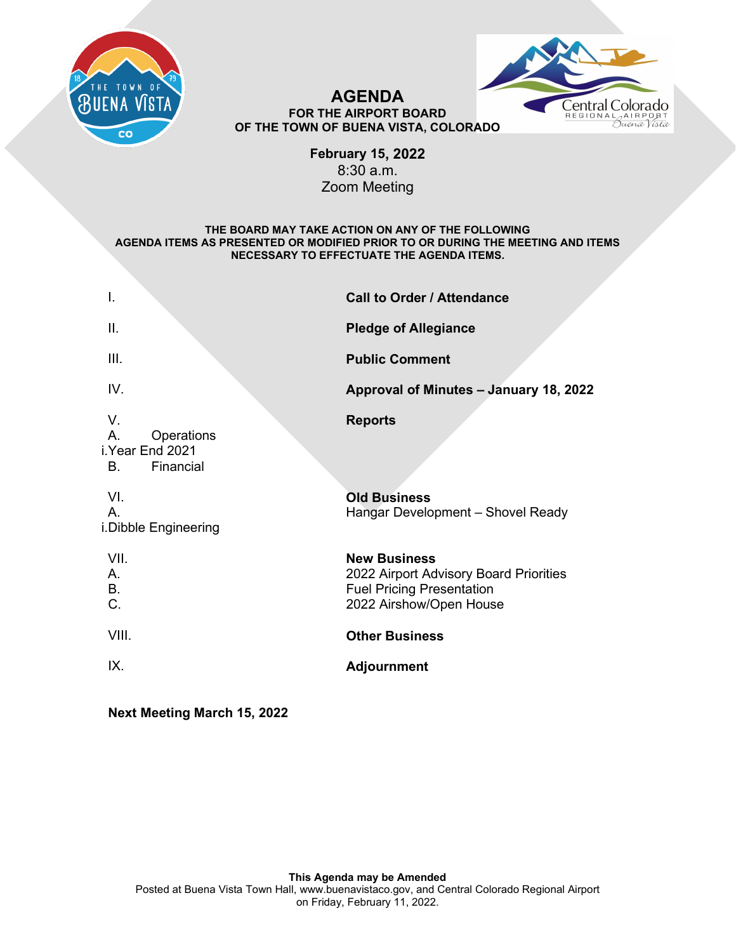



#### **AGENDA FOR THE AIRPORT BOARD OF THE TOWN OF BUENA VISTA, COLORADO**

**February 15, 2022**  8:30 a.m. Zoom Meeting

#### **THE BOARD MAY TAKE ACTION ON ANY OF THE FOLLOWING AGENDA ITEMS AS PRESENTED OR MODIFIED PRIOR TO OR DURING THE MEETING AND ITEMS NECESSARY TO EFFECTUATE THE AGENDA ITEMS.**

| I.                                                                  | <b>Call to Order / Attendance</b>                                                                                            |
|---------------------------------------------------------------------|------------------------------------------------------------------------------------------------------------------------------|
| Ш.                                                                  | <b>Pledge of Allegiance</b>                                                                                                  |
| III.                                                                | <b>Public Comment</b>                                                                                                        |
| IV.                                                                 | Approval of Minutes - January 18, 2022                                                                                       |
| V<br>A.<br>Operations<br>i.Year End 2021<br>Financial<br><b>B</b> . | <b>Reports</b>                                                                                                               |
| VI.<br>A.<br>i.Dibble Engineering                                   | <b>Old Business</b><br>Hangar Development - Shovel Ready                                                                     |
| VII.<br>$A_{1}$<br>B.<br>C.                                         | <b>New Business</b><br>2022 Airport Advisory Board Priorities<br><b>Fuel Pricing Presentation</b><br>2022 Airshow/Open House |
| VIII.                                                               | <b>Other Business</b>                                                                                                        |
| IX.                                                                 | <b>Adjournment</b>                                                                                                           |
|                                                                     |                                                                                                                              |

**Next Meeting March 15, 2022**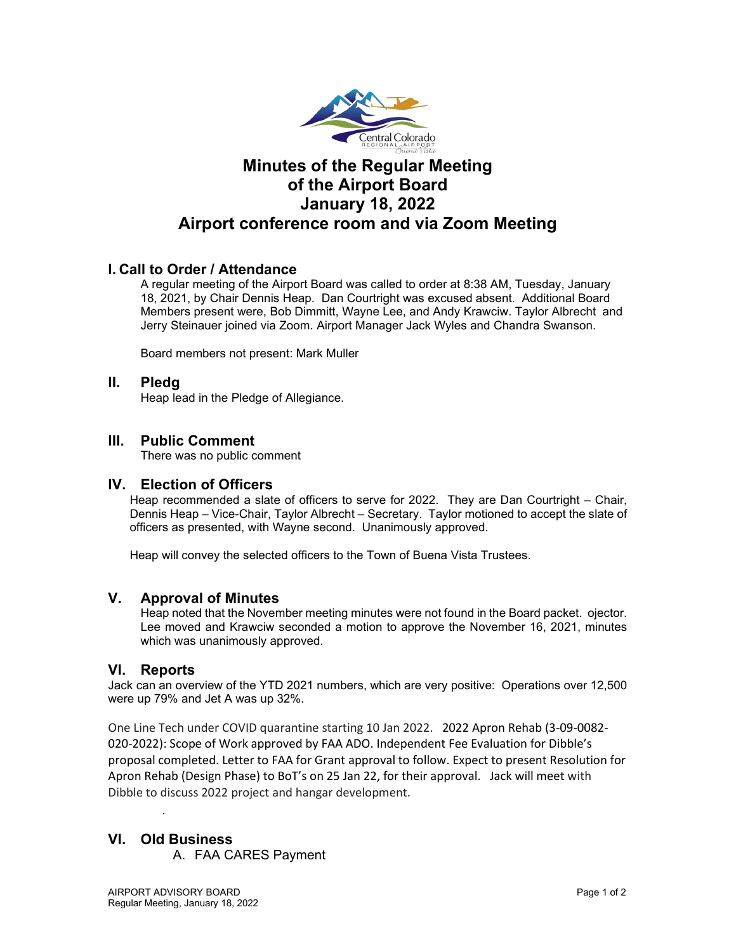

## **Minutes of the Regular Meeting of the Airport Board January 18, 2022 Airport conference room and via Zoom Meeting**

#### **I. Call to Order / Attendance**

A regular meeting of the Airport Board was called to order at 8:38 AM, Tuesday, January 18, 2021, by Chair Dennis Heap. Dan Courtright was excused absent. Additional Board Members present were, Bob Dimmitt, Wayne Lee, and Andy Krawciw. Taylor Albrecht and Jerry Steinauer joined via Zoom. Airport Manager Jack Wyles and Chandra Swanson.

Board members not present: Mark Muller

#### **II. Pledg**

Heap lead in the Pledge of Allegiance.

#### **III. Public Comment**

There was no public comment

#### **IV. Election of Officers**

Heap recommended a slate of officers to serve for 2022. They are Dan Courtright – Chair, Dennis Heap – Vice-Chair, Taylor Albrecht – Secretary. Taylor motioned to accept the slate of officers as presented, with Wayne second. Unanimously approved.

Heap will convey the selected officers to the Town of Buena Vista Trustees.

#### **V. Approval of Minutes**

Heap noted that the November meeting minutes were not found in the Board packet. ojector. Lee moved and Krawciw seconded a motion to approve the November 16, 2021, minutes which was unanimously approved.

#### **VI. Reports**

Jack can an overview of the YTD 2021 numbers, which are very positive: Operations over 12,500 were up 79% and Jet A was up 32%.

One Line Tech under COVID quarantine starting 10 Jan 2022. 2022 Apron Rehab (3-09-0082- 020-2022): Scope of Work approved by FAA ADO. Independent Fee Evaluation for Dibble's proposal completed. Letter to FAA for Grant approval to follow. Expect to present Resolution for Apron Rehab (Design Phase) to BoT's on 25 Jan 22, for their approval. Jack will meet with Dibble to discuss 2022 project and hangar development.

#### **VI. Old Business**

.

A. FAA CARES Payment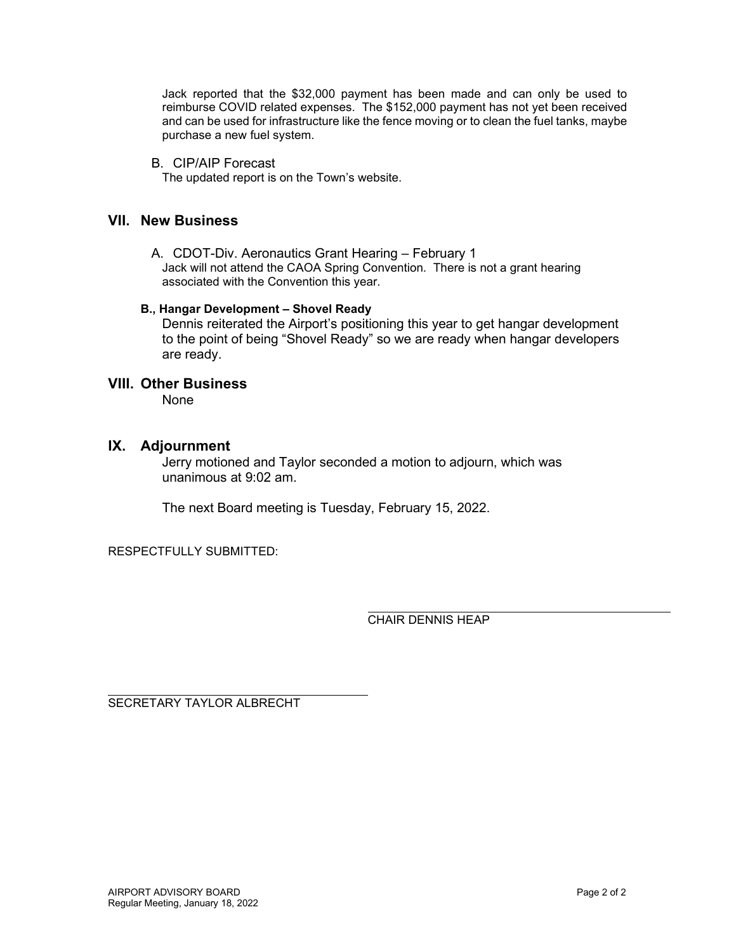Jack reported that the \$32,000 payment has been made and can only be used to reimburse COVID related expenses. The \$152,000 payment has not yet been received and can be used for infrastructure like the fence moving or to clean the fuel tanks, maybe purchase a new fuel system.

B. CIP/AIP Forecast

The updated report is on the Town's website.

#### **VII. New Business**

A. CDOT-Div. Aeronautics Grant Hearing – February 1 Jack will not attend the CAOA Spring Convention. There is not a grant hearing associated with the Convention this year.

#### **B., Hangar Development – Shovel Ready**

Dennis reiterated the Airport's positioning this year to get hangar development to the point of being "Shovel Ready" so we are ready when hangar developers are ready.

#### **VIII. Other Business**

None

#### **IX. Adjournment**

Jerry motioned and Taylor seconded a motion to adjourn, which was unanimous at 9:02 am.

The next Board meeting is Tuesday, February 15, 2022.

RESPECTFULLY SUBMITTED:

CHAIR DENNIS HEAP

SECRETARY TAYLOR ALBRECHT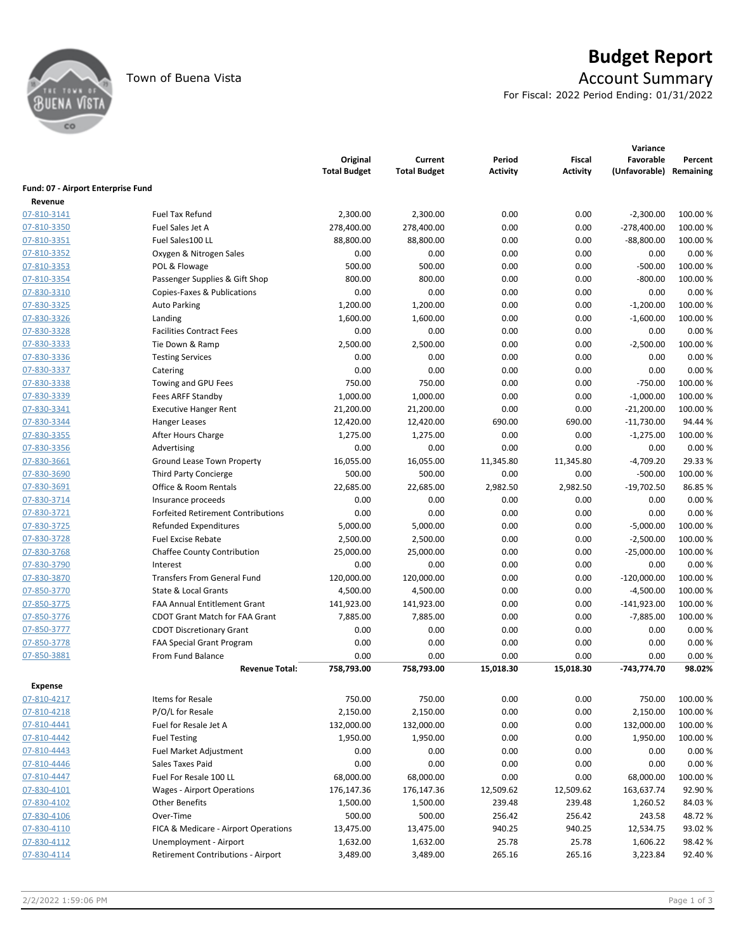

# Town of Buena Vista **Account Summary**

For Fiscal: 2022 Period Ending: 01/31/2022

|                                    |                                           | Original<br><b>Total Budget</b> | Current<br><b>Total Budget</b> | Period<br><b>Activity</b> | Fiscal<br><b>Activity</b> | Variance<br>Favorable<br>(Unfavorable) Remaining | Percent  |
|------------------------------------|-------------------------------------------|---------------------------------|--------------------------------|---------------------------|---------------------------|--------------------------------------------------|----------|
| Fund: 07 - Airport Enterprise Fund |                                           |                                 |                                |                           |                           |                                                  |          |
| Revenue                            |                                           |                                 |                                |                           |                           |                                                  |          |
| 07-810-3141                        | <b>Fuel Tax Refund</b>                    | 2,300.00                        | 2,300.00                       | 0.00                      | 0.00                      | $-2,300.00$                                      | 100.00 % |
| 07-810-3350                        | Fuel Sales Jet A                          | 278,400.00                      | 278,400.00                     | 0.00                      | 0.00                      | $-278,400.00$                                    | 100.00 % |
| 07-810-3351                        | Fuel Sales100 LL                          | 88,800.00                       | 88,800.00                      | 0.00                      | 0.00                      | $-88,800.00$                                     | 100.00%  |
| 07-810-3352                        | Oxygen & Nitrogen Sales                   | 0.00                            | 0.00                           | 0.00                      | 0.00                      | 0.00                                             | 0.00%    |
| 07-810-3353                        | POL & Flowage                             | 500.00                          | 500.00                         | 0.00                      | 0.00                      | $-500.00$                                        | 100.00%  |
| 07-810-3354                        | Passenger Supplies & Gift Shop            | 800.00                          | 800.00                         | 0.00                      | 0.00                      | $-800.00$                                        | 100.00 % |
| 07-830-3310                        | Copies-Faxes & Publications               | 0.00                            | 0.00                           | 0.00                      | 0.00                      | 0.00                                             | 0.00%    |
| 07-830-3325                        | <b>Auto Parking</b>                       | 1,200.00                        | 1,200.00                       | 0.00                      | 0.00                      | $-1,200.00$                                      | 100.00 % |
| 07-830-3326                        | Landing                                   | 1,600.00                        | 1,600.00                       | 0.00                      | 0.00                      | $-1,600.00$                                      | 100.00%  |
| 07-830-3328                        | <b>Facilities Contract Fees</b>           | 0.00                            | 0.00                           | 0.00                      | 0.00                      | 0.00                                             | 0.00%    |
| 07-830-3333                        | Tie Down & Ramp                           | 2,500.00                        | 2,500.00                       | 0.00                      | 0.00                      | $-2,500.00$                                      | 100.00 % |
| 07-830-3336                        | <b>Testing Services</b>                   | 0.00                            | 0.00                           | 0.00                      | 0.00                      | 0.00                                             | 0.00%    |
| 07-830-3337                        | Catering                                  | 0.00                            | 0.00                           | 0.00                      | 0.00                      | 0.00                                             | 0.00%    |
| 07-830-3338                        | Towing and GPU Fees                       | 750.00                          | 750.00                         | 0.00                      | 0.00                      | $-750.00$                                        | 100.00%  |
| 07-830-3339                        | Fees ARFF Standby                         | 1,000.00                        | 1,000.00                       | 0.00                      | 0.00                      | $-1,000.00$                                      | 100.00 % |
| 07-830-3341                        | <b>Executive Hanger Rent</b>              | 21,200.00                       | 21,200.00                      | 0.00                      | 0.00                      | $-21,200.00$                                     | 100.00 % |
| 07-830-3344                        | Hanger Leases                             | 12,420.00                       | 12,420.00                      | 690.00                    | 690.00                    | $-11,730.00$                                     | 94.44%   |
| 07-830-3355                        | After Hours Charge                        | 1,275.00                        | 1,275.00                       | 0.00                      | 0.00                      | $-1,275.00$                                      | 100.00%  |
| 07-830-3356                        | Advertising                               | 0.00                            | 0.00                           | 0.00                      | 0.00                      | 0.00                                             | 0.00%    |
| 07-830-3661                        | Ground Lease Town Property                | 16,055.00                       | 16,055.00                      | 11,345.80                 | 11,345.80                 | -4,709.20                                        | 29.33%   |
| 07-830-3690                        | <b>Third Party Concierge</b>              | 500.00                          | 500.00                         | 0.00                      | 0.00                      | $-500.00$                                        | 100.00 % |
| 07-830-3691                        | Office & Room Rentals                     | 22,685.00                       | 22,685.00                      | 2,982.50                  | 2,982.50                  | $-19,702.50$                                     | 86.85%   |
| 07-830-3714                        | Insurance proceeds                        | 0.00                            | 0.00                           | 0.00                      | 0.00                      | 0.00                                             | 0.00%    |
| 07-830-3721                        | <b>Forfeited Retirement Contributions</b> | 0.00                            | 0.00                           | 0.00                      | 0.00                      | 0.00                                             | 0.00%    |
| 07-830-3725                        | <b>Refunded Expenditures</b>              | 5,000.00                        | 5,000.00                       | 0.00                      | 0.00                      | $-5,000.00$                                      | 100.00 % |
| 07-830-3728                        | <b>Fuel Excise Rebate</b>                 | 2,500.00                        | 2,500.00                       | 0.00                      | 0.00                      | $-2,500.00$                                      | 100.00 % |
| 07-830-3768                        | <b>Chaffee County Contribution</b>        | 25,000.00                       | 25,000.00                      | 0.00                      | 0.00                      | $-25,000.00$                                     | 100.00%  |
| 07-830-3790                        | Interest                                  | 0.00                            | 0.00                           | 0.00                      | 0.00                      | 0.00                                             | 0.00%    |
| 07-830-3870                        | <b>Transfers From General Fund</b>        | 120,000.00                      | 120,000.00                     | 0.00                      | 0.00                      | $-120,000.00$                                    | 100.00%  |
| 07-850-3770                        | State & Local Grants                      | 4,500.00                        | 4,500.00                       | 0.00                      | 0.00                      | $-4,500.00$                                      | 100.00 % |
| 07-850-3775                        | <b>FAA Annual Entitlement Grant</b>       | 141,923.00                      | 141,923.00                     | 0.00                      | 0.00                      | $-141,923.00$                                    | 100.00 % |
| 07-850-3776                        | <b>CDOT Grant Match for FAA Grant</b>     | 7,885.00                        | 7,885.00                       | 0.00                      | 0.00                      | $-7,885.00$                                      | 100.00%  |
| 07-850-3777                        | <b>CDOT Discretionary Grant</b>           | 0.00                            | 0.00                           | 0.00                      | 0.00                      | 0.00                                             | 0.00%    |
| 07-850-3778                        | <b>FAA Special Grant Program</b>          | 0.00                            | 0.00                           | 0.00                      | 0.00                      | 0.00                                             | 0.00%    |
| 07-850-3881                        | From Fund Balance                         | 0.00                            | 0.00                           | 0.00                      | 0.00                      | 0.00                                             | 0.00%    |
|                                    | <b>Revenue Total:</b>                     | 758,793.00                      | 758,793.00                     | 15,018.30                 | 15,018.30                 | -743,774.70                                      | 98.02%   |
| <b>Expense</b>                     |                                           |                                 |                                |                           |                           |                                                  |          |
| 07-810-4217                        | Items for Resale                          | 750.00                          | 750.00                         | 0.00                      | 0.00                      | 750.00                                           | 100.00%  |
| 07-810-4218                        | P/O/L for Resale                          | 2,150.00                        | 2,150.00                       | 0.00                      | 0.00                      | 2,150.00                                         | 100.00 % |
| 07-810-4441                        | Fuel for Resale Jet A                     | 132,000.00                      | 132,000.00                     | 0.00                      | 0.00                      | 132,000.00                                       | 100.00 % |
| 07-810-4442                        | <b>Fuel Testing</b>                       | 1,950.00                        | 1,950.00                       | 0.00                      | 0.00                      | 1,950.00                                         | 100.00%  |
| 07-810-4443                        | Fuel Market Adjustment                    | 0.00                            | 0.00                           | 0.00                      | 0.00                      | 0.00                                             | 0.00%    |
| 07-810-4446                        | Sales Taxes Paid                          | 0.00                            | 0.00                           | 0.00                      | 0.00                      | 0.00                                             | 0.00%    |
| 07-810-4447                        | Fuel For Resale 100 LL                    | 68,000.00                       | 68,000.00                      | 0.00                      | 0.00                      | 68,000.00                                        | 100.00 % |
| 07-830-4101                        | <b>Wages - Airport Operations</b>         | 176,147.36                      | 176,147.36                     | 12,509.62                 | 12,509.62                 | 163,637.74                                       | 92.90%   |
| 07-830-4102                        | <b>Other Benefits</b>                     | 1,500.00                        | 1,500.00                       | 239.48                    | 239.48                    | 1,260.52                                         | 84.03%   |
| 07-830-4106                        | Over-Time                                 | 500.00                          | 500.00                         | 256.42                    | 256.42                    | 243.58                                           | 48.72%   |
| 07-830-4110                        | FICA & Medicare - Airport Operations      | 13,475.00                       | 13,475.00                      | 940.25                    | 940.25                    | 12,534.75                                        | 93.02%   |
| 07-830-4112                        | Unemployment - Airport                    | 1,632.00                        | 1,632.00                       | 25.78                     | 25.78                     | 1,606.22                                         | 98.42%   |
| 07-830-4114                        | Retirement Contributions - Airport        | 3,489.00                        | 3,489.00                       | 265.16                    | 265.16                    | 3,223.84                                         | 92.40%   |
|                                    |                                           |                                 |                                |                           |                           |                                                  |          |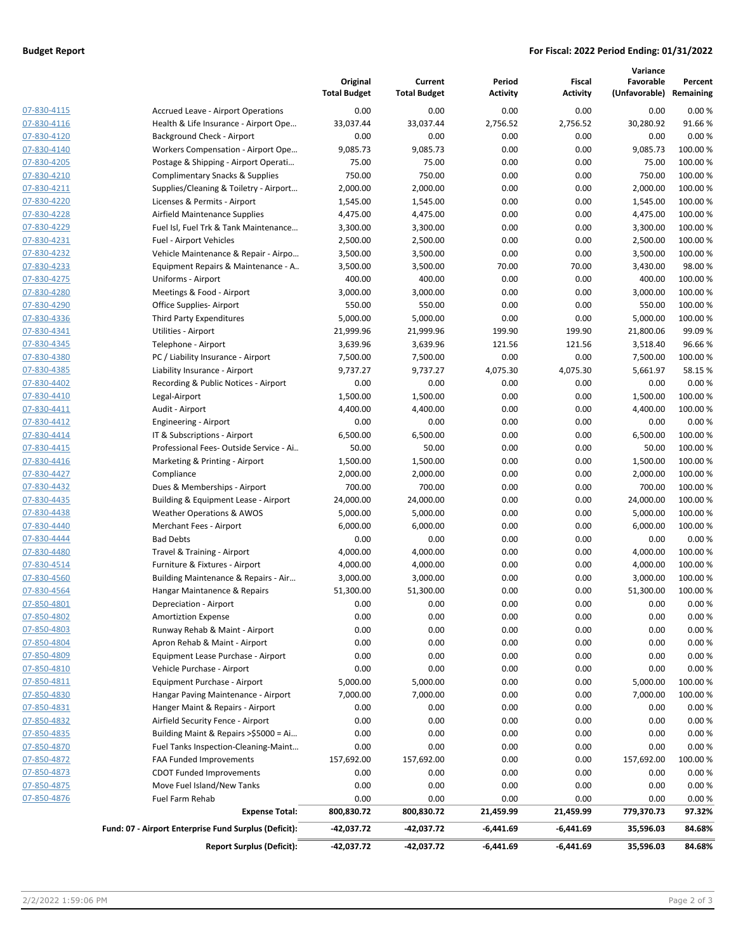#### **Budget Report For Fiscal: 2022 Period Ending: 01/31/2022**

|                            |                                                       | Original<br><b>Total Budget</b> | Current<br><b>Total Budget</b> | Period<br><b>Activity</b> | <b>Fiscal</b><br><b>Activity</b> | Variance<br>Favorable<br>(Unfavorable) Remaining | Percent         |
|----------------------------|-------------------------------------------------------|---------------------------------|--------------------------------|---------------------------|----------------------------------|--------------------------------------------------|-----------------|
| 07-830-4115                | <b>Accrued Leave - Airport Operations</b>             | 0.00                            | 0.00                           | 0.00                      | 0.00                             | 0.00                                             | 0.00%           |
| 07-830-4116                | Health & Life Insurance - Airport Ope                 | 33,037.44                       | 33,037.44                      | 2,756.52                  | 2,756.52                         | 30,280.92                                        | 91.66%          |
| 07-830-4120                | Background Check - Airport                            | 0.00                            | 0.00                           | 0.00                      | 0.00                             | 0.00                                             | 0.00%           |
| 07-830-4140                | Workers Compensation - Airport Ope                    | 9,085.73                        | 9,085.73                       | 0.00                      | 0.00                             | 9,085.73                                         | 100.00 %        |
| 07-830-4205                | Postage & Shipping - Airport Operati                  | 75.00                           | 75.00                          | 0.00                      | 0.00                             | 75.00                                            | 100.00%         |
| 07-830-4210                | <b>Complimentary Snacks &amp; Supplies</b>            | 750.00                          | 750.00                         | 0.00                      | 0.00                             | 750.00                                           | 100.00%         |
| 07-830-4211                | Supplies/Cleaning & Toiletry - Airport                | 2,000.00                        | 2,000.00                       | 0.00                      | 0.00                             | 2,000.00                                         | 100.00%         |
| 07-830-4220                | Licenses & Permits - Airport                          | 1,545.00                        | 1,545.00                       | 0.00                      | 0.00                             | 1,545.00                                         | 100.00%         |
| 07-830-4228                | Airfield Maintenance Supplies                         | 4,475.00                        | 4,475.00                       | 0.00                      | 0.00                             | 4,475.00                                         | 100.00%         |
| 07-830-4229                | Fuel Isl, Fuel Trk & Tank Maintenance                 | 3,300.00                        | 3,300.00                       | 0.00                      | 0.00                             | 3,300.00                                         | 100.00%         |
| 07-830-4231                | Fuel - Airport Vehicles                               | 2,500.00                        | 2,500.00                       | 0.00                      | 0.00                             | 2,500.00                                         | 100.00%         |
| 07-830-4232                | Vehicle Maintenance & Repair - Airpo                  | 3,500.00                        | 3,500.00                       | 0.00                      | 0.00                             | 3,500.00                                         | 100.00%         |
| 07-830-4233                | Equipment Repairs & Maintenance - A                   | 3,500.00                        | 3,500.00                       | 70.00                     | 70.00                            | 3,430.00                                         | 98.00%          |
| 07-830-4275                | Uniforms - Airport                                    | 400.00                          | 400.00                         | 0.00                      | 0.00                             | 400.00                                           | 100.00 %        |
| 07-830-4280                | Meetings & Food - Airport                             | 3,000.00                        | 3,000.00                       | 0.00                      | 0.00                             | 3,000.00                                         | 100.00%         |
| 07-830-4290                | Office Supplies-Airport                               | 550.00                          | 550.00                         | 0.00                      | 0.00                             | 550.00                                           | 100.00%         |
| 07-830-4336                | Third Party Expenditures                              | 5,000.00                        | 5,000.00                       | 0.00                      | 0.00                             | 5,000.00                                         | 100.00 %        |
| 07-830-4341                | Utilities - Airport                                   | 21,999.96                       | 21,999.96                      | 199.90                    | 199.90                           | 21,800.06                                        | 99.09%          |
| 07-830-4345                | Telephone - Airport                                   | 3,639.96                        | 3,639.96                       | 121.56                    | 121.56                           | 3,518.40                                         | 96.66%          |
| 07-830-4380                | PC / Liability Insurance - Airport                    | 7,500.00                        | 7,500.00                       | 0.00<br>4,075.30          | 0.00                             | 7,500.00                                         | 100.00 %        |
| 07-830-4385                | Liability Insurance - Airport                         | 9,737.27                        | 9,737.27                       |                           | 4,075.30                         | 5,661.97                                         | 58.15%<br>0.00% |
| 07-830-4402<br>07-830-4410 | Recording & Public Notices - Airport<br>Legal-Airport | 0.00                            | 0.00                           | 0.00                      | 0.00                             | 0.00<br>1,500.00                                 | 100.00%         |
| 07-830-4411                | Audit - Airport                                       | 1,500.00<br>4,400.00            | 1,500.00<br>4,400.00           | 0.00<br>0.00              | 0.00<br>0.00                     | 4,400.00                                         | 100.00 %        |
| 07-830-4412                | Engineering - Airport                                 | 0.00                            | 0.00                           | 0.00                      | 0.00                             | 0.00                                             | 0.00%           |
| 07-830-4414                | IT & Subscriptions - Airport                          | 6,500.00                        | 6,500.00                       | 0.00                      | 0.00                             | 6,500.00                                         | 100.00%         |
| 07-830-4415                | Professional Fees-Outside Service - Ai                | 50.00                           | 50.00                          | 0.00                      | 0.00                             | 50.00                                            | 100.00%         |
| 07-830-4416                | Marketing & Printing - Airport                        | 1,500.00                        | 1,500.00                       | 0.00                      | 0.00                             | 1,500.00                                         | 100.00%         |
| 07-830-4427                | Compliance                                            | 2,000.00                        | 2,000.00                       | 0.00                      | 0.00                             | 2,000.00                                         | 100.00%         |
| 07-830-4432                | Dues & Memberships - Airport                          | 700.00                          | 700.00                         | 0.00                      | 0.00                             | 700.00                                           | 100.00%         |
| 07-830-4435                | Building & Equipment Lease - Airport                  | 24,000.00                       | 24,000.00                      | 0.00                      | 0.00                             | 24,000.00                                        | 100.00%         |
| 07-830-4438                | <b>Weather Operations &amp; AWOS</b>                  | 5,000.00                        | 5,000.00                       | 0.00                      | 0.00                             | 5,000.00                                         | 100.00%         |
| 07-830-4440                | Merchant Fees - Airport                               | 6,000.00                        | 6,000.00                       | 0.00                      | 0.00                             | 6,000.00                                         | 100.00%         |
| 07-830-4444                | <b>Bad Debts</b>                                      | 0.00                            | 0.00                           | 0.00                      | 0.00                             | 0.00                                             | 0.00%           |
| 07-830-4480                | Travel & Training - Airport                           | 4,000.00                        | 4,000.00                       | 0.00                      | 0.00                             | 4,000.00                                         | 100.00%         |
| 07-830-4514                | Furniture & Fixtures - Airport                        | 4,000.00                        | 4,000.00                       | 0.00                      | 0.00                             | 4,000.00                                         | 100.00%         |
| 07-830-4560                | Building Maintenance & Repairs - Air                  | 3,000.00                        | 3,000.00                       | 0.00                      | 0.00                             | 3,000.00                                         | 100.00 %        |
| 07-830-4564                | Hangar Maintanence & Repairs                          | 51,300.00                       | 51,300.00                      | 0.00                      | 0.00                             | 51,300.00                                        | 100.00%         |
| <u>07-850-4801</u>         | Depreciation - Airport                                | 0.00                            | 0.00                           | 0.00                      | 0.00                             | 0.00                                             | 0.00 %          |
| 07-850-4802                | <b>Amortiztion Expense</b>                            | 0.00                            | 0.00                           | 0.00                      | 0.00                             | 0.00                                             | 0.00%           |
| 07-850-4803                | Runway Rehab & Maint - Airport                        | 0.00                            | 0.00                           | 0.00                      | 0.00                             | 0.00                                             | 0.00%           |
| 07-850-4804                | Apron Rehab & Maint - Airport                         | 0.00                            | 0.00                           | 0.00                      | 0.00                             | 0.00                                             | 0.00%           |
| 07-850-4809                | Equipment Lease Purchase - Airport                    | 0.00                            | 0.00                           | 0.00                      | 0.00                             | 0.00                                             | 0.00%           |
| 07-850-4810                | Vehicle Purchase - Airport                            | 0.00                            | 0.00                           | 0.00                      | 0.00                             | 0.00                                             | 0.00%           |
| 07-850-4811                | Equipment Purchase - Airport                          | 5,000.00                        | 5,000.00                       | 0.00                      | 0.00                             | 5,000.00                                         | 100.00 %        |
| 07-850-4830                | Hangar Paving Maintenance - Airport                   | 7,000.00                        | 7,000.00                       | 0.00                      | 0.00                             | 7,000.00                                         | 100.00%         |
| 07-850-4831                | Hanger Maint & Repairs - Airport                      | 0.00                            | 0.00                           | 0.00                      | 0.00                             | 0.00                                             | 0.00%           |
| 07-850-4832                | Airfield Security Fence - Airport                     | 0.00                            | 0.00                           | 0.00                      | 0.00                             | 0.00                                             | 0.00%           |
| 07-850-4835                | Building Maint & Repairs >\$5000 = Ai                 | 0.00                            | 0.00                           | 0.00                      | 0.00                             | 0.00                                             | 0.00%           |
| 07-850-4870                | Fuel Tanks Inspection-Cleaning-Maint                  | 0.00                            | 0.00                           | 0.00                      | 0.00                             | 0.00                                             | 0.00%           |
| 07-850-4872                | <b>FAA Funded Improvements</b>                        | 157,692.00                      | 157,692.00                     | 0.00                      | 0.00                             | 157,692.00                                       | 100.00 %        |
| 07-850-4873                | <b>CDOT Funded Improvements</b>                       | 0.00                            | 0.00                           | 0.00                      | 0.00                             | 0.00                                             | 0.00%           |
| 07-850-4875                | Move Fuel Island/New Tanks                            | 0.00                            | 0.00                           | 0.00                      | 0.00                             | 0.00                                             | 0.00%           |
| 07-850-4876                | Fuel Farm Rehab                                       | 0.00                            | 0.00                           | 0.00                      | 0.00                             | 0.00                                             | 0.00%           |
|                            | <b>Expense Total:</b>                                 | 800,830.72                      | 800,830.72                     | 21,459.99                 | 21,459.99                        | 779,370.73                                       | 97.32%          |
|                            | Fund: 07 - Airport Enterprise Fund Surplus (Deficit): | -42,037.72                      | -42,037.72                     | $-6,441.69$               | -6,441.69                        | 35,596.03                                        | 84.68%          |
|                            | <b>Report Surplus (Deficit):</b>                      | -42,037.72                      | -42,037.72                     | -6,441.69                 | -6,441.69                        | 35,596.03                                        | 84.68%          |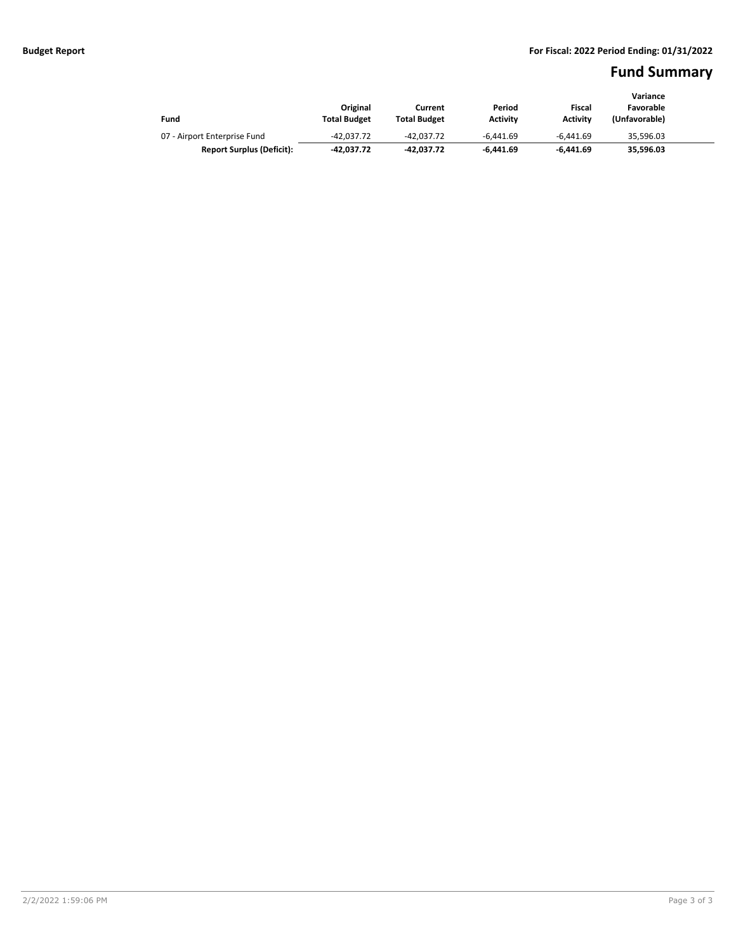### **Fund Summary**

|                                  |                     |                     |                 |                 | Variance      |  |
|----------------------------------|---------------------|---------------------|-----------------|-----------------|---------------|--|
|                                  | Original            | Current             | Period          | Fiscal          | Favorable     |  |
| Fund                             | <b>Total Budget</b> | <b>Total Budget</b> | <b>Activity</b> | <b>Activity</b> | (Unfavorable) |  |
| 07 - Airport Enterprise Fund     | $-42.037.72$        | -42.037.72          | $-6.441.69$     | $-6.441.69$     | 35.596.03     |  |
| <b>Report Surplus (Deficit):</b> | -42.037.72          | -42.037.72          | $-6.441.69$     | $-6.441.69$     | 35.596.03     |  |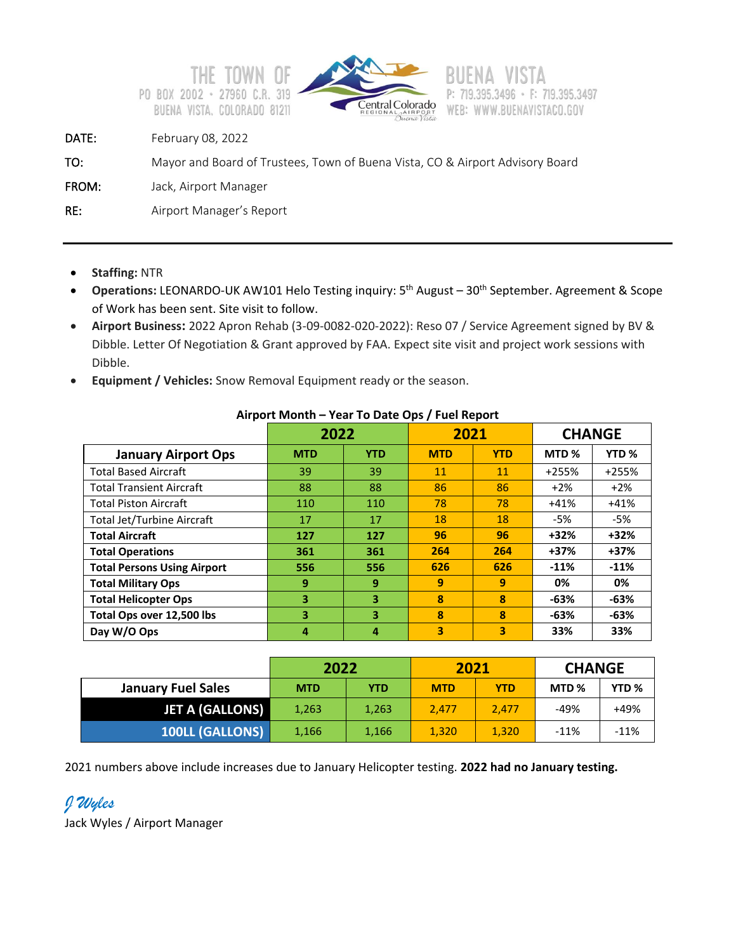



DATE: February 08, 2022

```
TO: Mayor and Board of Trustees, Town of Buena Vista, CO & Airport Advisory Board
```
FROM: Jack, Airport Manager

RE: Airport Manager's Report

- **Staffing:** NTR
- **Operations:** LEONARDO-UK AW101 Helo Testing inquiry: 5th August 30th September. Agreement & Scope of Work has been sent. Site visit to follow.
- **Airport Business:** 2022 Apron Rehab (3-09-0082-020-2022): Reso 07 / Service Agreement signed by BV & Dibble. Letter Of Negotiation & Grant approved by FAA. Expect site visit and project work sessions with Dibble.
- **Equipment / Vehicles:** Snow Removal Equipment ready or the season.

|                                    | 2022       |            | 2021       |            | <b>CHANGE</b>    |                  |
|------------------------------------|------------|------------|------------|------------|------------------|------------------|
| <b>January Airport Ops</b>         | <b>MTD</b> | <b>YTD</b> | <b>MTD</b> | <b>YTD</b> | MTD <sub>%</sub> | YTD <sub>%</sub> |
| <b>Total Based Aircraft</b>        | 39         | 39         | 11         | 11         | $+255%$          | $+255%$          |
| <b>Total Transient Aircraft</b>    | 88         | 88         | 86         | 86         | $+2%$            | $+2%$            |
| <b>Total Piston Aircraft</b>       | 110        | 110        | 78         | 78         | $+41%$           | $+41%$           |
| <b>Total Jet/Turbine Aircraft</b>  | 17         | 17         | 18         | 18         | -5%              | -5%              |
| <b>Total Aircraft</b>              | 127        | 127        | 96         | 96         | $+32%$           | $+32%$           |
| <b>Total Operations</b>            | 361        | 361        | 264        | 264        | $+37%$           | $+37%$           |
| <b>Total Persons Using Airport</b> | 556        | 556        | 626        | 626        | $-11%$           | $-11%$           |
| <b>Total Military Ops</b>          | 9          | 9          | 9          | 9          | 0%               | 0%               |
| <b>Total Helicopter Ops</b>        | 3          | 3          | 8          | 8          | $-63%$           | $-63%$           |
| Total Ops over 12,500 lbs          | 3          | 3          | 8          | 8          | -63%             | -63%             |
| Day W/O Ops                        | 4          | 4          | 3          | 3          | 33%              | 33%              |

#### **Airport Month – Year To Date Ops / Fuel Report**

|                           | 2022       |            | 2021       |            | <b>CHANGE</b>    |                  |
|---------------------------|------------|------------|------------|------------|------------------|------------------|
| <b>January Fuel Sales</b> | <b>MTD</b> | <b>YTD</b> | <b>MTD</b> | <b>YTD</b> | MTD <sub>%</sub> | YTD <sub>%</sub> |
| <b>JET A (GALLONS)</b>    | 1,263      | 1,263      | 2.477      | 2.477      | -49%             | +49%             |
| <b>100LL (GALLONS)</b>    | 1,166      | 1,166      | 1,320      | 1.320      | $-11%$           | $-11\%$          |

2021 numbers above include increases due to January Helicopter testing. **2022 had no January testing.**

*J Wyles* Jack Wyles / Airport Manager